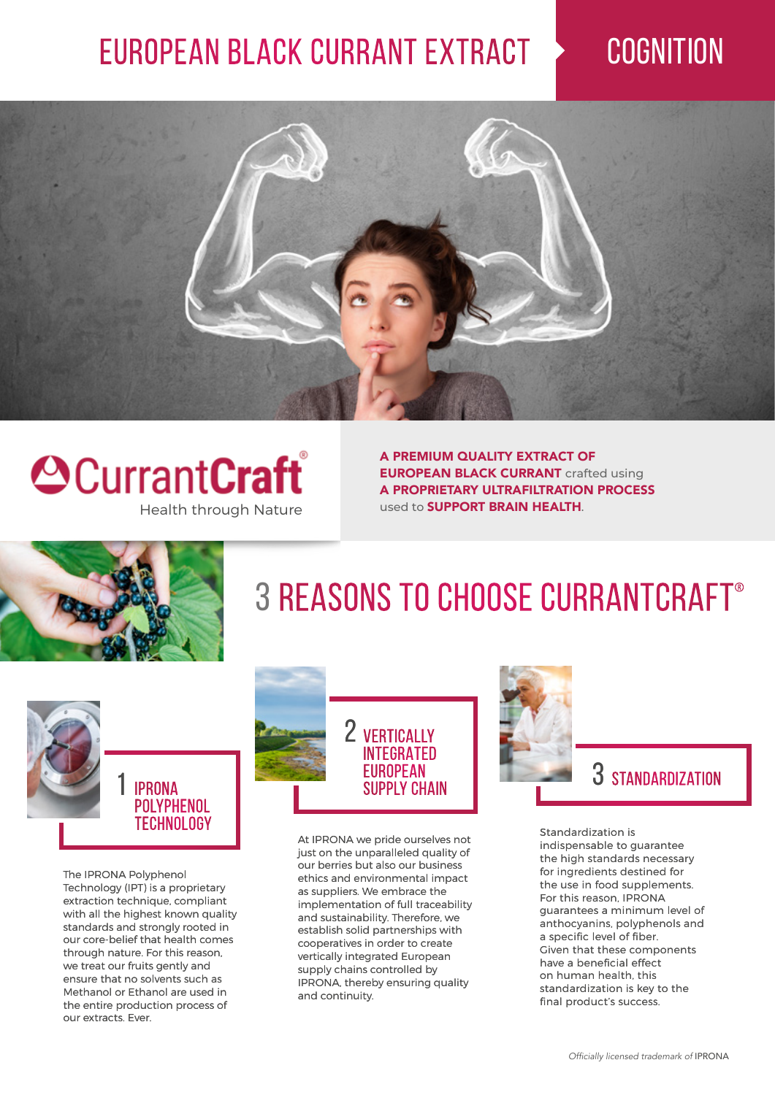## EUROPEAN BLACK CURRANT EXTRACT > COGNITION





A PREMIUM QUALITY EXTRACT OF **EUROPEAN BLACK CURRANT** crafted using A PROPRIETARY ULTRAFILTRATION PROCESS used to **SUPPORT BRAIN HEALTH.** 



# 3 REASONS TO CHOOSE CURRANTCRAFT®



The IPRONA Polyphenol Technology (IPT) is a proprietary extraction technique, compliant with all the highest known quality standards and strongly rooted in our core-belief that health comes through nature. For this reason, we treat our fruits gently and ensure that no solvents such as Methanol or Ethanol are used in the entire production process of our extracts. Ever.



At IPRONA we pride ourselves not just on the unparalleled quality of our berries but also our business ethics and environmental impact as suppliers. We embrace the implementation of full traceability and sustainability. Therefore, we establish solid partnerships with cooperatives in order to create vertically integrated European supply chains controlled by IPRONA, thereby ensuring quality and continuity.



### 3 Standardization

Standardization is indispensable to guarantee the high standards necessary for ingredients destined for the use in food supplements. For this reason, IPRONA guarantees a minimum level of anthocyanins, polyphenols and a specific level of fiber. Given that these components have a beneficial effect on human health, this standardization is key to the final product's success.